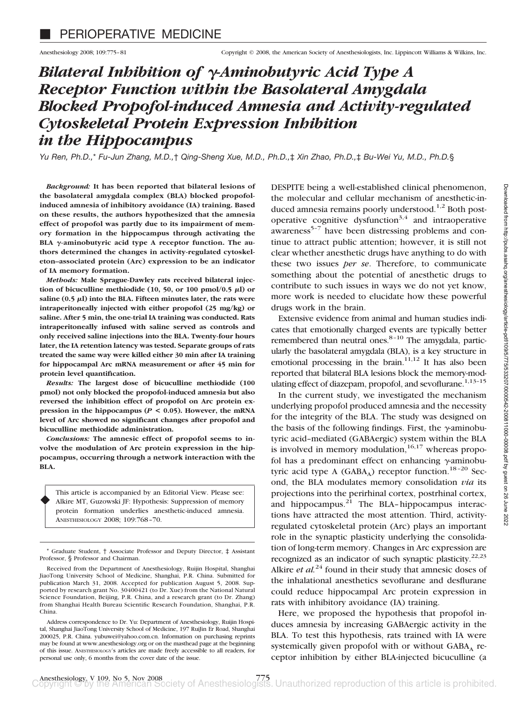# *Bilateral Inhibition of γ-Aminobutyric Acid Type A Receptor Function within the Basolateral Amygdala Blocked Propofol-induced Amnesia and Activity-regulated Cytoskeletal Protein Expression Inhibition in the Hippocampus*

*Yu Ren, Ph.D.,*\* *Fu-Jun Zhang, M.D.,*† *Qing-Sheng Xue, M.D., Ph.D.,*‡ *Xin Zhao, Ph.D.,*‡ *Bu-Wei Yu, M.D., Ph.D.*§

*Background:* **It has been reported that bilateral lesions of the basolateral amygdala complex (BLA) blocked propofolinduced amnesia of inhibitory avoidance (IA) training. Based on these results, the authors hypothesized that the amnesia effect of propofol was partly due to its impairment of memory formation in the hippocampus through activating the** BLA  $\gamma$ -aminobutyric acid type A receptor function. The au**thors determined the changes in activity-regulated cytoskeleton–associated protein (Arc) expression to be an indicator of IA memory formation.**

*Methods:* **Male Sprague-Dawley rats received bilateral injec**tion of bicuculline methiodide  $(10, 50, \text{ or } 100 \text{ pmol}/0.5 \text{ }\mu\text{I})$  or  $saline (0.5  $\mu l$ ) into the BLA. Fifteen minutes later, the rats were$ **intraperitoneally injected with either propofol (25 mg/kg) or saline. After 5 min, the one-trial IA training was conducted. Rats intraperitoneally infused with saline served as controls and only received saline injections into the BLA. Twenty-four hours later, the IA retention latency was tested. Separate groups of rats treated the same way were killed either 30 min after IA training for hippocampal Arc mRNA measurement or after 45 min for protein level quantification.**

*Results:* **The largest dose of bicuculline methiodide (100 pmol) not only blocked the propofol-induced amnesia but also reversed the inhibition effect of propofol on Arc protein expression in the hippocampus (***P* **< 0.05). However, the mRNA level of Arc showed no significant changes after propofol and bicuculline methiodide administration.**

*Conclusions:* **The amnesic effect of propofol seems to involve the modulation of Arc protein expression in the hippocampus, occurring through a network interaction with the BLA.**

This article is accompanied by an Editorial View. Please see: Alkire MT, Guzowski JF: Hypothesis: Suppression of memory protein formation underlies anesthetic-induced amnesia. ANESTHESIOLOGY 2008; 109:768–70.

♦

DESPITE being a well-established clinical phenomenon, the molecular and cellular mechanism of anesthetic-induced amnesia remains poorly understood.<sup>1,2</sup> Both postoperative cognitive dysfunction<sup>3,4</sup> and intraoperative awareness<sup>5-7</sup> have been distressing problems and continue to attract public attention; however, it is still not clear whether anesthetic drugs have anything to do with these two issues *per se*. Therefore, to communicate something about the potential of anesthetic drugs to contribute to such issues in ways we do not yet know, more work is needed to elucidate how these powerful drugs work in the brain.

Extensive evidence from animal and human studies indicates that emotionally charged events are typically better remembered than neutral ones. $8-10$  The amygdala, particularly the basolateral amygdala (BLA), is a key structure in emotional processing in the brain. $11,12$  It has also been reported that bilateral BLA lesions block the memory-modulating effect of diazepam, propofol, and sevoflurane.<sup>1,13-15</sup>

In the current study, we investigated the mechanism underlying propofol produced amnesia and the necessity for the integrity of the BLA. The study was designed on the basis of the following findings. First, the  $\gamma$ -aminobutyric acid–mediated (GABAergic) system within the BLA is involved in memory modulation,  $16,17$  whereas propofol has a predominant effect on enhancing  $\gamma$ -aminobutyric acid type A (GABA<sub>A</sub>) receptor function.<sup>18-20</sup> Second, the BLA modulates memory consolidation *via* its projections into the perirhinal cortex, postrhinal cortex, and hippocampus. $21$  The BLA-hippocampus interactions have attracted the most attention. Third, activityregulated cytoskeletal protein (Arc) plays an important role in the synaptic plasticity underlying the consolidation of long-term memory. Changes in Arc expression are recognized as an indicator of such synaptic plasticity.<sup>22,23</sup> Alkire *et al.*<sup>24</sup> found in their study that amnesic doses of the inhalational anesthetics sevoflurane and desflurane could reduce hippocampal Arc protein expression in rats with inhibitory avoidance (IA) training.

Here, we proposed the hypothesis that propofol induces amnesia by increasing GABAergic activity in the BLA. To test this hypothesis, rats trained with IA were systemically given propofol with or without  $GABA_A$  receptor inhibition by either BLA-injected bicuculline (a

<sup>\*</sup> Graduate Student, † Associate Professor and Deputy Director, ‡ Assistant Professor, § Professor and Chairman.

Received from the Department of Anesthesiology, Ruijin Hospital, Shanghai JiaoTong University School of Medicine, Shanghai, P.R. China. Submitted for publication March 31, 2008. Accepted for publication August 5, 2008. Supported by research grant No. 30400421 (to Dr. Xue) from the National Natural Science Foundation, Beijing, P.R. China, and a research grant (to Dr. Zhang) from Shanghai Health Bureau Scientific Research Foundation, Shanghai, P.R. China.

Address correspondence to Dr. Yu: Department of Anesthesiology, Ruijin Hospital, Shanghai JiaoTong University School of Medicine, 197 RuiJin Er Road, Shanghai 200025, P.R. China. yubuwei@yahoo.com.cn. Information on purchasing reprints may be found at www.anesthesiology.org or on the masthead page at the beginning of this issue. ANESTHESIOLOGY's articles are made freely accessible to all readers, for personal use only, 6 months from the cover date of the issue.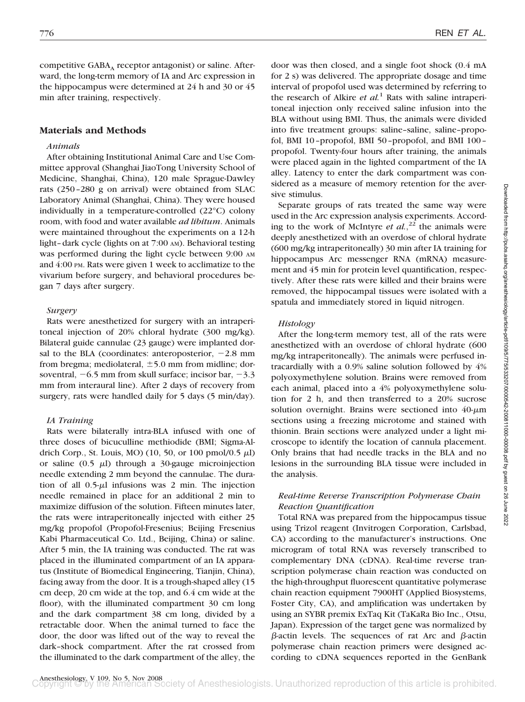competitive  $GABA_A$  receptor antagonist) or saline. Afterward, the long-term memory of IA and Arc expression in the hippocampus were determined at 24 h and 30 or 45 min after training, respectively.

# **Materials and Methods**

## *Animals*

After obtaining Institutional Animal Care and Use Committee approval (Shanghai JiaoTong University School of Medicine, Shanghai, China), 120 male Sprague-Dawley rats (250–280 g on arrival) were obtained from SLAC Laboratory Animal (Shanghai, China). They were housed individually in a temperature-controlled (22°C) colony room, with food and water available *ad libitum*. Animals were maintained throughout the experiments on a 12-h light–dark cycle (lights on at 7:00 AM). Behavioral testing was performed during the light cycle between 9:00 AM and 4:00 PM. Rats were given 1 week to acclimatize to the vivarium before surgery, and behavioral procedures began 7 days after surgery.

## *Surgery*

Rats were anesthetized for surgery with an intraperitoneal injection of 20% chloral hydrate (300 mg/kg). Bilateral guide cannulae (23 gauge) were implanted dorsal to the BLA (coordinates: anteroposterior,  $-2.8$  mm from bregma; mediolateral,  $\pm$  5.0 mm from midline; dorsoventral,  $-6.5$  mm from skull surface; incisor bar,  $-3.3$ mm from interaural line). After 2 days of recovery from surgery, rats were handled daily for 5 days (5 min/day).

## *IA Training*

Rats were bilaterally intra-BLA infused with one of three doses of bicuculline methiodide (BMI; Sigma-Aldrich Corp., St. Louis, MO) (10, 50, or 100 pmol/0.5  $\mu$ l) or saline  $(0.5 \mu l)$  through a 30-gauge microinjection needle extending 2 mm beyond the cannulae. The duration of all  $0.5-\mu l$  infusions was 2 min. The injection needle remained in place for an additional 2 min to maximize diffusion of the solution. Fifteen minutes later, the rats were intraperitoneally injected with either 25 mg/kg propofol (Propofol-Fresenius; Beijing Fresenius Kabi Pharmaceutical Co. Ltd., Beijing, China) or saline. After 5 min, the IA training was conducted. The rat was placed in the illuminated compartment of an IA apparatus (Institute of Biomedical Engineering, Tianjin, China), facing away from the door. It is a trough-shaped alley (15 cm deep, 20 cm wide at the top, and 6.4 cm wide at the floor), with the illuminated compartment 30 cm long and the dark compartment 38 cm long, divided by a retractable door. When the animal turned to face the door, the door was lifted out of the way to reveal the dark–shock compartment. After the rat crossed from the illuminated to the dark compartment of the alley, the

door was then closed, and a single foot shock (0.4 mA for 2 s) was delivered. The appropriate dosage and time interval of propofol used was determined by referring to the research of Alkire *et al.*<sup>1</sup> Rats with saline intraperitoneal injection only received saline infusion into the BLA without using BMI. Thus, the animals were divided into five treatment groups: saline–saline, saline–propofol, BMI 10–propofol, BMI 50–propofol, and BMI 100– propofol. Twenty-four hours after training, the animals were placed again in the lighted compartment of the IA alley. Latency to enter the dark compartment was considered as a measure of memory retention for the aversive stimulus.

Separate groups of rats treated the same way were used in the Arc expression analysis experiments. According to the work of McIntyre *et al.*,<sup>22</sup> the animals were deeply anesthetized with an overdose of chloral hydrate (600 mg/kg intraperitoneally) 30 min after IA training for hippocampus Arc messenger RNA (mRNA) measurement and 45 min for protein level quantification, respectively. After these rats were killed and their brains were removed, the hippocampal tissues were isolated with a spatula and immediately stored in liquid nitrogen.

### *Histology*

After the long-term memory test, all of the rats were anesthetized with an overdose of chloral hydrate (600 mg/kg intraperitoneally). The animals were perfused intracardially with a 0.9% saline solution followed by 4% polyoxymethylene solution. Brains were removed from each animal, placed into a 4% polyoxymethylene solution for 2 h, and then transferred to a 20% sucrose solution overnight. Brains were sectioned into  $40$ - $\mu$ m sections using a freezing microtome and stained with thionin. Brain sections were analyzed under a light microscope to identify the location of cannula placement. Only brains that had needle tracks in the BLA and no lesions in the surrounding BLA tissue were included in the analysis.

# *Real-time Reverse Transcription Polymerase Chain Reaction Quantification*

Total RNA was prepared from the hippocampus tissue using Trizol reagent (Invitrogen Corporation, Carlsbad, CA) according to the manufacturer's instructions. One microgram of total RNA was reversely transcribed to complementary DNA (cDNA). Real-time reverse transcription polymerase chain reaction was conducted on the high-throughput fluorescent quantitative polymerase chain reaction equipment 7900HT (Applied Biosystems, Foster City, CA), and amplification was undertaken by using an SYBR premix ExTaq Kit (TaKaRa Bio Inc., Otsu, Japan). Expression of the target gene was normalized by  $\beta$ -actin levels. The sequences of rat Arc and  $\beta$ -actin polymerase chain reaction primers were designed according to cDNA sequences reported in the GenBank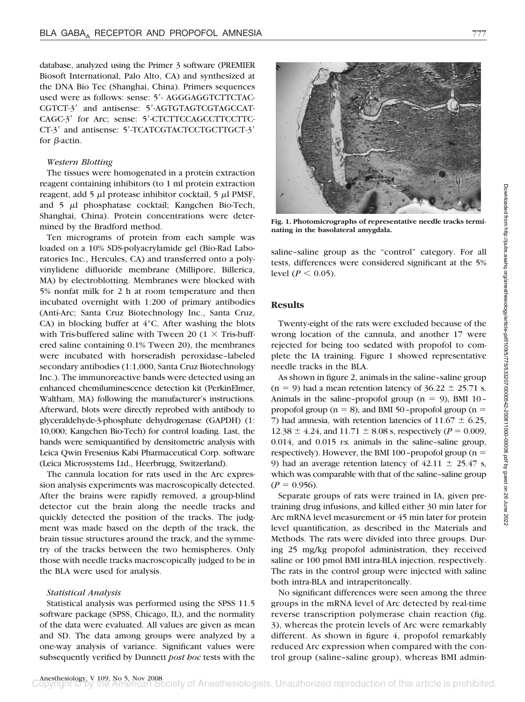database, analyzed using the Primer 3 software (PREMIER Biosoft International, Palo Alto, CA) and synthesized at the DNA Bio Tec (Shanghai, China). Primers sequences used were as follows: sense: 5'- AGGGAGGTCTTCTAC-CGTCT-3' and antisense: 5'-AGTGTAGTCGTAGCCAT-CAGC-3<sup>'</sup> for Arc; sense: 5'-CTCTTCCAGCCTTCCTTC-CT-3<sup>'</sup> and antisense: 5'-TCATCGTACTCCTGCTTGCT-3' for  $\beta$ -actin.

# *Western Blotting*

The tissues were homogenated in a protein extraction reagent containing inhibitors (to 1 ml protein extraction reagent, add 5  $\mu$ l protease inhibitor cocktail, 5  $\mu$ l PMSF, and  $5$   $\mu$ l phosphatase cocktail; Kangchen Bio-Tech, Shanghai, China). Protein concentrations were determined by the Bradford method.

Ten micrograms of protein from each sample was loaded on a 10% SDS-polyacrylamide gel (Bio-Rad Laboratories Inc., Hercules, CA) and transferred onto a polyvinylidene difluoride membrane (Millipore, Billerica, MA) by electroblotting. Membranes were blocked with 5% nonfat milk for 2 h at room temperature and then incubated overnight with 1:200 of primary antibodies (Anti-Arc; Santa Cruz Biotechnology Inc., Santa Cruz, CA) in blocking buffer at 4°C. After washing the blots with Tris-buffered saline with Tween 20 (1  $\times$  Tris-buffered saline containing 0.1% Tween 20), the membranes were incubated with horseradish peroxidase–labeled secondary antibodies (1:1,000, Santa Cruz Biotechnology Inc.). The immunoreactive bands were detected using an enhanced chemiluminescence detection kit (PerkinElmer, Waltham, MA) following the manufacturer's instructions. Afterward, blots were directly reprobed with antibody to glyceraldehyde-3-phosphate dehydrogenase (GAPDH) (1: 10,000; Kangchen Bio-Tech) for control loading. Last, the bands were semiquantified by densitometric analysis with Leica Qwin Fresenius Kabi Pharmaceutical Corp. software (Leica Microsystems Ltd., Heerbrugg, Switzerland).

The cannula location for rats used in the Arc expression analysis experiments was macroscopically detected. After the brains were rapidly removed, a group-blind detector cut the brain along the needle tracks and quickly detected the position of the tracks. The judgment was made based on the depth of the track, the brain tissue structures around the track, and the symmetry of the tracks between the two hemispheres. Only those with needle tracks macroscopically judged to be in the BLA were used for analysis.

#### *Statistical Analysis*

Statistical analysis was performed using the SPSS 11.5 software package (SPSS, Chicago, IL), and the normality of the data were evaluated. All values are given as mean and SD. The data among groups were analyzed by a one-way analysis of variance. Significant values were subsequently verified by Dunnett *post hoc* tests with the



**Fig. 1. Photomicrographs of representative needle tracks terminating in the basolateral amygdala.**

saline–saline group as the "control" category. For all tests, differences were considered significant at the 5% level (*P*  $<$  0.05).

## **Results**

Twenty-eight of the rats were excluded because of the wrong location of the cannula, and another 17 were rejected for being too sedated with propofol to complete the IA training. Figure 1 showed representative needle tracks in the BLA.

As shown in figure 2, animals in the saline–saline group  $(n = 9)$  had a mean retention latency of  $36.22 \pm 25.71$  s. Animals in the saline–propofol group  $(n = 9)$ , BMI 10– propofol group ( $n = 8$ ), and BMI 50–propofol group ( $n =$ 7) had amnesia, with retention latencies of  $11.67 \pm 6.25$ ,  $12.38 \pm 4.24$ , and  $11.71 \pm 8.08$  s, respectively (*P* = 0.009,  $0.014$ , and  $0.015$  *vs.* animals in the saline-saline group, respectively). However, the BMI 100-propofol group ( $n =$ 9) had an average retention latency of  $42.11 \pm 25.47$  s, which was comparable with that of the saline–saline group  $(P = 0.956)$ .

Separate groups of rats were trained in IA, given pretraining drug infusions, and killed either 30 min later for Arc mRNA level measurement or 45 min later for protein level quantification, as described in the Materials and Methods. The rats were divided into three groups. During 25 mg/kg propofol administration, they received saline or 100 pmol BMI intra-BLA injection, respectively. The rats in the control group were injected with saline both intra-BLA and intraperitoneally.

No significant differences were seen among the three groups in the mRNA level of Arc detected by real-time reverse transcription polymerase chain reaction (fig. 3), whereas the protein levels of Arc were remarkably different. As shown in figure 4, propofol remarkably reduced Arc expression when compared with the control group (saline–saline group), whereas BMI admin-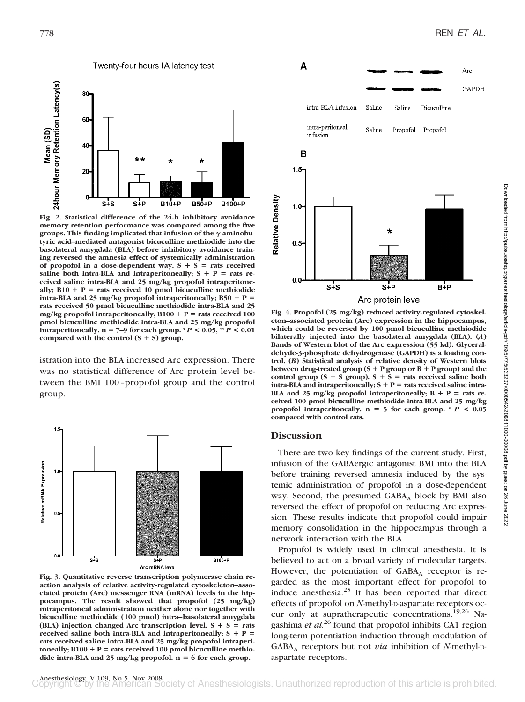

**Fig. 2. Statistical difference of the 24-h inhibitory avoidance memory retention performance was compared among the five** groups. This finding implicated that infusion of the  $\gamma$ -aminobu**tyric acid–mediated antagonist bicuculline methiodide into the basolateral amygdala (BLA) before inhibitory avoidance training reversed the amnesia effect of systemically administration** of propofol in a dose-dependent way.  $S + S =$  rats received saline both intra-BLA and intraperitoneally;  $S + P =$  rats re**ceived saline intra-BLA and 25 mg/kg propofol intraperitone**ally;  $B10 + P$  = rats received 10 pmol bicuculline methiodide **intra-BLA and 25 mg/kg propofol intraperitoneally;**  $B50 + P =$ **rats received 50 pmol bicuculline methiodide intra-BLA and 25** mg/kg propofol intraperitoneally;  $B100 + P$  = rats received 100 **pmol bicuculline methiodide intra-BLA and 25 mg/kg propofol intraperitoneally.**  $n = 7-9$  for each group.  $^*P < 0.05$ ,  $^{**}P < 0.01$ compared with the control  $(S + S)$  group.

istration into the BLA increased Arc expression. There was no statistical difference of Arc protein level between the BMI 100–propofol group and the control group.



**Fig. 3. Quantitative reverse transcription polymerase chain reaction analysis of relative activity-regulated cytoskeleton–associated protein (Arc) messenger RNA (mRNA) levels in the hippocampus. The result showed that propofol (25 mg/kg) intraperitoneal administration neither alone nor together with bicuculline methiodide (100 pmol) intra–basolateral amygdala** (BLA) injection changed Arc transcription level.  $S + S =$  rats **received saline both intra-BLA and intraperitoneally;**  $S + P =$ **rats received saline intra-BLA and 25 mg/kg propofol intraperi** $t$ oneally;  $B100 + P$  = rats received 100 pmol bicuculline methiodide intra-BLA and 25 mg/kg propofol.  $n = 6$  for each group.



**Fig. 4. Propofol (25 mg/kg) reduced activity-regulated cytoskeleton–associated protein (Arc) expression in the hippocampus, which could be reversed by 100 pmol bicuculline methiodide bilaterally injected into the basolateral amygdala (BLA). (***A***) Bands of Western blot of the Arc expression (55 kd). Glyceraldehyde-3-phosphate dehydrogenase (GAPDH) is a loading control. (***B***) Statistical analysis of relative density of Western blots between drug-treated group (S P group or B P group) and the** control group  $(S + S)$  group).  $S + S =$  rats received saline both  $intra-BLA$  and  $interaperitoneally$ ;  $S + P = rats$  received saline  $intra$ -**BLA and 25 mg/kg propofol intraperitoneally;**  $B + P =$  **rats received 100 pmol bicuculline methiodide intra-BLA and 25 mg/kg** propofol intraperitoneally.  $n = 5$  for each group.  $* P < 0.05$ **compared with control rats.**

# **Discussion**

There are two key findings of the current study. First, infusion of the GABAergic antagonist BMI into the BLA before training reversed amnesia induced by the systemic administration of propofol in a dose-dependent way. Second, the presumed  $GABA_A$  block by BMI also reversed the effect of propofol on reducing Arc expression. These results indicate that propofol could impair memory consolidation in the hippocampus through a network interaction with the BLA.

Propofol is widely used in clinical anesthesia. It is believed to act on a broad variety of molecular targets. However, the potentiation of  $GABA_A$  receptor is regarded as the most important effect for propofol to induce anesthesia.<sup>25</sup> It has been reported that direct effects of propofol on *N*-methyl-D-aspartate receptors occur only at supratherapeutic concentrations.<sup>19,26</sup> Nagashima *et al.*<sup>26</sup> found that propofol inhibits CA1 region long-term potentiation induction through modulation of GABAA receptors but not *via* inhibition of *N*-methyl-Daspartate receptors.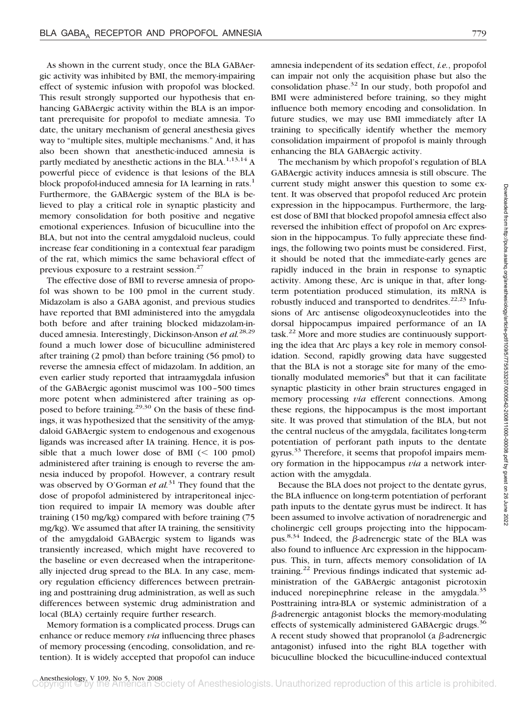As shown in the current study, once the BLA GABAergic activity was inhibited by BMI, the memory-impairing effect of systemic infusion with propofol was blocked. This result strongly supported our hypothesis that enhancing GABAergic activity within the BLA is an important prerequisite for propofol to mediate amnesia. To date, the unitary mechanism of general anesthesia gives way to "multiple sites, multiple mechanisms." And, it has also been shown that anesthetic-induced amnesia is partly mediated by anesthetic actions in the BLA.<sup>1,13,14</sup> A powerful piece of evidence is that lesions of the BLA block propofol-induced amnesia for IA learning in rats.<sup>1</sup> Furthermore, the GABAergic system of the BLA is believed to play a critical role in synaptic plasticity and memory consolidation for both positive and negative emotional experiences. Infusion of bicuculline into the BLA, but not into the central amygdaloid nucleus, could increase fear conditioning in a contextual fear paradigm of the rat, which mimics the same behavioral effect of previous exposure to a restraint session.27

The effective dose of BMI to reverse amnesia of propofol was shown to be 100 pmol in the current study. Midazolam is also a GABA agonist, and previous studies have reported that BMI administered into the amygdala both before and after training blocked midazolam-induced amnesia. Interestingly, Dickinson-Anson *et al.*28,29 found a much lower dose of bicuculline administered after training (2 pmol) than before training (56 pmol) to reverse the amnesia effect of midazolam. In addition, an even earlier study reported that intraamygdala infusion of the GABAergic agonist muscimol was 100–500 times more potent when administered after training as opposed to before training.<sup>29,30</sup> On the basis of these findings, it was hypothesized that the sensitivity of the amygdaloid GABAergic system to endogenous and exogenous ligands was increased after IA training. Hence, it is possible that a much lower dose of BMI  $(< 100$  pmol) administered after training is enough to reverse the amnesia induced by propofol. However, a contrary result was observed by O'Gorman *et al.*<sup>31</sup> They found that the dose of propofol administered by intraperitoneal injection required to impair IA memory was double after training (150 mg/kg) compared with before training (75 mg/kg). We assumed that after IA training, the sensitivity of the amygdaloid GABAergic system to ligands was transiently increased, which might have recovered to the baseline or even decreased when the intraperitoneally injected drug spread to the BLA. In any case, memory regulation efficiency differences between pretraining and posttraining drug administration, as well as such differences between systemic drug administration and local (BLA) certainly require further research.

Memory formation is a complicated process. Drugs can enhance or reduce memory *via* influencing three phases of memory processing (encoding, consolidation, and retention). It is widely accepted that propofol can induce amnesia independent of its sedation effect, *i.e.*, propofol can impair not only the acquisition phase but also the consolidation phase. $32$  In our study, both propofol and BMI were administered before training, so they might influence both memory encoding and consolidation. In future studies, we may use BMI immediately after IA training to specifically identify whether the memory consolidation impairment of propofol is mainly through enhancing the BLA GABAergic activity.

The mechanism by which propofol's regulation of BLA GABAergic activity induces amnesia is still obscure. The current study might answer this question to some extent. It was observed that propofol reduced Arc protein expression in the hippocampus. Furthermore, the largest dose of BMI that blocked propofol amnesia effect also reversed the inhibition effect of propofol on Arc expression in the hippocampus. To fully appreciate these findings, the following two points must be considered. First, it should be noted that the immediate-early genes are rapidly induced in the brain in response to synaptic activity. Among these, Arc is unique in that, after longterm potentiation produced stimulation, its mRNA is robustly induced and transported to dendrites.<sup>22,23</sup> Infusions of Arc antisense oligodeoxynucleotides into the dorsal hippocampus impaired performance of an IA  $\text{task.}^{22}$  More and more studies are continuously supporting the idea that Arc plays a key role in memory consolidation. Second, rapidly growing data have suggested that the BLA is not a storage site for many of the emotionally modulated memories<sup>8</sup> but that it can facilitate synaptic plasticity in other brain structures engaged in memory processing *via* efferent connections. Among these regions, the hippocampus is the most important site. It was proved that stimulation of the BLA, but not the central nucleus of the amygdala, facilitates long-term potentiation of perforant path inputs to the dentate gyrus.<sup>33</sup> Therefore, it seems that propofol impairs memory formation in the hippocampus *via* a network interaction with the amygdala.

Because the BLA does not project to the dentate gyrus, the BLA influence on long-term potentiation of perforant path inputs to the dentate gyrus must be indirect. It has been assumed to involve activation of noradrenergic and cholinergic cell groups projecting into the hippocampus.<sup>8,34</sup> Indeed, the  $\beta$ -adrenergic state of the BLA was also found to influence Arc expression in the hippocampus. This, in turn, affects memory consolidation of IA training.<sup>22</sup> Previous findings indicated that systemic administration of the GABAergic antagonist picrotoxin induced norepinephrine release in the amygdala.<sup>35</sup> Posttraining intra-BLA or systemic administration of a  $\beta$ -adrenergic antagonist blocks the memory-modulating effects of systemically administered GABAergic drugs.<sup>36</sup> A recent study showed that propranolol (a  $\beta$ -adrenergic antagonist) infused into the right BLA together with bicuculline blocked the bicuculline-induced contextual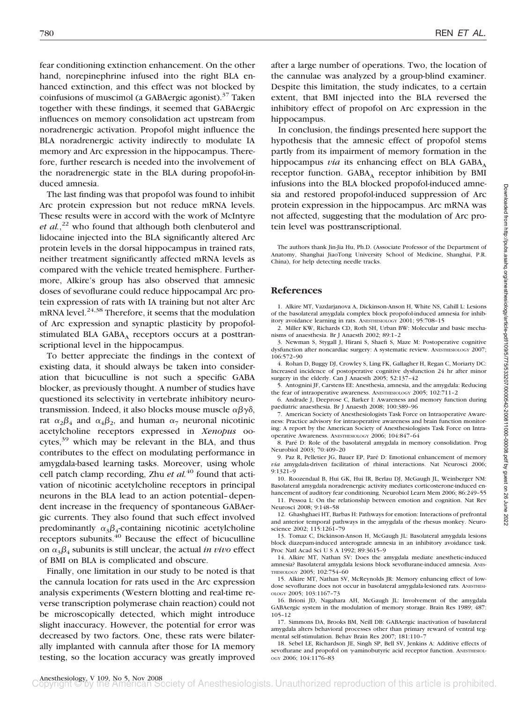fear conditioning extinction enhancement. On the other hand, norepinephrine infused into the right BLA enhanced extinction, and this effect was not blocked by coinfusions of muscimol (a GABAergic agonist).<sup>37</sup> Taken together with these findings, it seemed that GABAergic influences on memory consolidation act upstream from noradrenergic activation. Propofol might influence the BLA noradrenergic activity indirectly to modulate IA memory and Arc expression in the hippocampus. Therefore, further research is needed into the involvement of the noradrenergic state in the BLA during propofol-induced amnesia.

The last finding was that propofol was found to inhibit Arc protein expression but not reduce mRNA levels. These results were in accord with the work of McIntyre *et al.*, <sup>22</sup> who found that although both clenbuterol and lidocaine injected into the BLA significantly altered Arc protein levels in the dorsal hippocampus in trained rats, neither treatment significantly affected mRNA levels as compared with the vehicle treated hemisphere. Furthermore, Alkire's group has also observed that amnesic doses of sevoflurane could reduce hippocampal Arc protein expression of rats with IA training but not alter Arc mRNA level. $24,38$  Therefore, it seems that the modulation of Arc expression and synaptic plasticity by propofolstimulated BLA GABA, receptors occurs at a posttranscriptional level in the hippocampus.

To better appreciate the findings in the context of existing data, it should always be taken into consideration that bicuculline is not such a specific GABA blocker, as previously thought. A number of studies have questioned its selectivity in vertebrate inhibitory neurotransmission. Indeed, it also blocks mouse muscle  $\alpha\beta\gamma\delta$ , rat  $\alpha_2 \beta_4$  and  $\alpha_4 \beta_2$ , and human  $\alpha_7$  neuronal nicotinic acetylcholine receptors expressed in *Xenopus* oo- $\text{cvtes},^{39}$  which may be relevant in the BLA, and thus contributes to the effect on modulating performance in amygdala-based learning tasks. Moreover, using whole cell patch clamp recording, Zhu *et al.*<sup>40</sup> found that activation of nicotinic acetylcholine receptors in principal neurons in the BLA lead to an action potential–dependent increase in the frequency of spontaneous GABAergic currents. They also found that such effect involved predominantly  $\alpha_3\beta_4$ -containing nicotinic acetylcholine receptors subunits.<sup>40</sup> Because the effect of bicuculline on  $\alpha_3 \beta_4$  subunits is still unclear, the actual *in vivo* effect of BMI on BLA is complicated and obscure.

Finally, one limitation in our study to be noted is that the cannula location for rats used in the Arc expression analysis experiments (Western blotting and real-time reverse transcription polymerase chain reaction) could not be microscopically detected, which might introduce slight inaccuracy. However, the potential for error was decreased by two factors. One, these rats were bilaterally implanted with cannula after those for IA memory testing, so the location accuracy was greatly improved

after a large number of operations. Two, the location of the cannulae was analyzed by a group-blind examiner. Despite this limitation, the study indicates, to a certain extent, that BMI injected into the BLA reversed the inhibitory effect of propofol on Arc expression in the hippocampus.

In conclusion, the findings presented here support the hypothesis that the amnesic effect of propofol stems partly from its impairment of memory formation in the hippocampus *via* its enhancing effect on BLA GABA<sub>A</sub> receptor function.  $GABA_A$  receptor inhibition by BMI infusions into the BLA blocked propofol-induced amnesia and restored propofol-induced suppression of Arc protein expression in the hippocampus. Arc mRNA was not affected, suggesting that the modulation of Arc protein level was posttranscriptional.

The authors thank Jin-Jia Hu, Ph.D. (Associate Professor of the Department of Anatomy, Shanghai JiaoTong University School of Medicine, Shanghai, P.R. China), for help detecting needle tracks.

# **References**

1. Alkire MT, Vazdarjanova A, Dickinson-Anson H, White NS, Cahill L: Lesions of the basolateral amygdala complex block propofol-induced amnesia for inhibitory avoidance learning in rats. ANESTHESIOLOGY 2001; 95:708–15

2. Miller KW, Richards CD, Roth SH, Urban BW: Molecular and basic mechanisms of anaesthesia. Br J Anaesth 2002; 89:1–2

3. Newman S, Stygall J, Hirani S, Shaefi S, Maze M: Postoperative cognitive dysfunction after noncardiac surgery: A systematic review. ANESTHESIOLOGY 2007; 106:572–90

4. Rohan D, Buggy DJ, Crowley S, Ling FK, Gallagher H, Regan C, Moriarty DC: Increased incidence of postoperative cognitive dysfunction 24 hr after minor surgery in the elderly. Can J Anaesth 2005; 52:137–42

5. Antognini JF, Carstens EE: Anesthesia, amnesia, and the amygdala: Reducing the fear of intraoperative awareness. ANESTHESIOLOGY 2005; 102:711–2

6. Andrade J, Deeprose C, Barker I: Awareness and memory function during paediatric anaesthesia. Br J Anaesth 2008; 100:389–96

7. American Society of Anesthesiologists Task Force on Intraoperative Awareness: Practice advisory for intraoperative awareness and brain function monitoring: A report by the American Society of Anesthesiologists Task Force on Intraoperative Awareness. ANESTHESIOLOGY 2006; 104:847–64

8. Paré D: Role of the basolateral amygdala in memory consolidation. Prog Neurobiol 2003; 70:409–20

9. Paz R, Pelletier JG, Bauer EP, Paré D: Emotional enhancement of memory *via* amygdala-driven facilitation of rhinal interactions. Nat Neurosci 2006; 9:1321–9

10. Roozendaal B, Hui GK, Hui IR, Berlau DJ, McGaugh JL, Weinberger NM: Basolateral amygdala noradrenergic activity mediates corticosterone-induced enhancement of auditory fear conditioning. Neurobiol Learn Mem 2006; 86:249–55

11. Pessoa L: On the relationship between emotion and cognition. Nat Rev Neurosci 2008; 9:148–58

12. Ghashghaei HT, Barbas H: Pathways for emotion: Interactions of prefrontal and anterior temporal pathways in the amygdala of the rhesus monkey. Neuroscience 2002; 115:1261–79

13. Tomaz C, Dickinson-Anson H, McGaugh JL: Basolateral amygdala lesions block diazepam-induced anterograde amnesia in an inhibitory avoidance task. Proc Natl Acad Sci U S A 1992; 89:3615-9

14. Alkire MT, Nathan SV: Does the amygdala mediate anesthetic-induced amnesia? Basolateral amygdala lesions block sevoflurane-induced amnesia. ANES-THESIOLOGY 2005; 102:754–60

15. Alkire MT, Nathan SV, McReynolds JR: Memory enhancing effect of lowdose sevoflurane does not occur in basolateral amygdala-lesioned rats. ANESTHESI-OLOGY 2005; 103:1167–73

16. Brioni JD, Nagahara AH, McGaugh JL: Involvement of the amygdala GABAergic system in the modulation of memory storage. Brain Res 1989; 487: 105–12

17. Simmons DA, Brooks BM, Neill DB: GABAergic inactivation of basolateral amygdala alters behavioral processes other than primary reward of ventral tegmental self-stimulation. Behav Brain Res 2007; 181:110-7

18. Sebel LE, Richardson JE, Singh SP, Bell SV, Jenkins A: Additive effects of sevoflurane and propofol on  $\gamma$ aminobutyric acid receptor function. ANESTHESIOL-OGY 2006; 104:1176–83